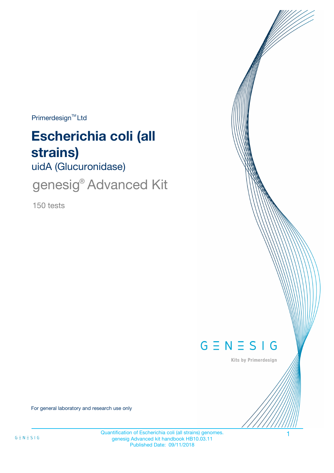$Primerdesign^{\text{TM}}$ Ltd

# **Escherichia coli (all strains)**

uidA (Glucuronidase)

genesig<sup>®</sup> Advanced Kit

150 tests



Kits by Primerdesign

For general laboratory and research use only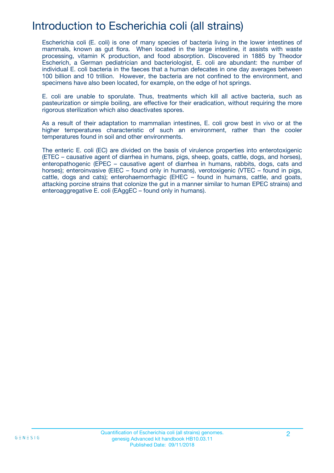## Introduction to Escherichia coli (all strains)

Escherichia coli (E. coli) is one of many species of bacteria living in the lower intestines of mammals, known as gut flora. When located in the large intestine, it assists with waste processing, vitamin K production, and food absorption. Discovered in 1885 by Theodor Escherich, a German pediatrician and bacteriologist, E. coli are abundant: the number of individual E. coli bacteria in the faeces that a human defecates in one day averages between 100 billion and 10 trillion. However, the bacteria are not confined to the environment, and specimens have also been located, for example, on the edge of hot springs.

E. coli are unable to sporulate. Thus, treatments which kill all active bacteria, such as pasteurization or simple boiling, are effective for their eradication, without requiring the more rigorous sterilization which also deactivates spores.

As a result of their adaptation to mammalian intestines, E. coli grow best in vivo or at the higher temperatures characteristic of such an environment, rather than the cooler temperatures found in soil and other environments.

The enteric E. coli (EC) are divided on the basis of virulence properties into enterotoxigenic (ETEC – causative agent of diarrhea in humans, pigs, sheep, goats, cattle, dogs, and horses), enteropathogenic (EPEC – causative agent of diarrhea in humans, rabbits, dogs, cats and horses); enteroinvasive (EIEC – found only in humans), verotoxigenic (VTEC – found in pigs, cattle, dogs and cats); enterohaemorrhagic (EHEC – found in humans, cattle, and goats, attacking porcine strains that colonize the gut in a manner similar to human EPEC strains) and enteroaggregative E. coli (EAggEC – found only in humans).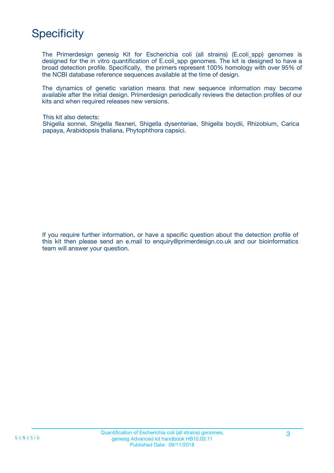## **Specificity**

The Primerdesign genesig Kit for Escherichia coli (all strains) (E.coli\_spp) genomes is designed for the in vitro quantification of E.coli spp genomes. The kit is designed to have a broad detection profile. Specifically, the primers represent 100% homology with over 95% of the NCBI database reference sequences available at the time of design.

The dynamics of genetic variation means that new sequence information may become available after the initial design. Primerdesign periodically reviews the detection profiles of our kits and when required releases new versions.

This kit also detects:

Shigella sonnei, Shigella flexneri, Shigella dysenteriae, Shigella boydii, Rhizobium, Carica papaya, Arabidopsis thaliana, Phytophthora capsici.

If you require further information, or have a specific question about the detection profile of this kit then please send an e.mail to enquiry@primerdesign.co.uk and our bioinformatics team will answer your question.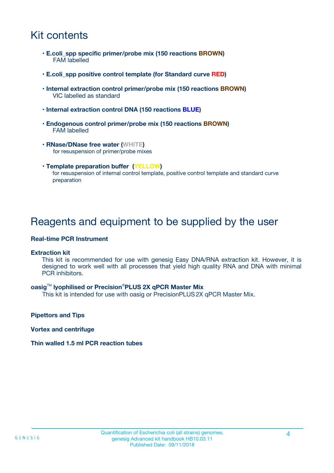## Kit contents

- **E.coli\_spp specific primer/probe mix (150 reactions BROWN)** FAM labelled
- **E.coli\_spp positive control template (for Standard curve RED)**
- **Internal extraction control primer/probe mix (150 reactions BROWN)** VIC labelled as standard
- **Internal extraction control DNA (150 reactions BLUE)**
- **Endogenous control primer/probe mix (150 reactions BROWN)** FAM labelled
- **RNase/DNase free water (WHITE)** for resuspension of primer/probe mixes
- **Template preparation buffer (YELLOW)** for resuspension of internal control template, positive control template and standard curve preparation

### Reagents and equipment to be supplied by the user

#### **Real-time PCR Instrument**

#### **Extraction kit**

This kit is recommended for use with genesig Easy DNA/RNA extraction kit. However, it is designed to work well with all processes that yield high quality RNA and DNA with minimal PCR inhibitors.

#### **oasig**TM **lyophilised or Precision**®**PLUS 2X qPCR Master Mix**

This kit is intended for use with oasig or PrecisionPLUS2X qPCR Master Mix.

**Pipettors and Tips**

**Vortex and centrifuge**

#### **Thin walled 1.5 ml PCR reaction tubes**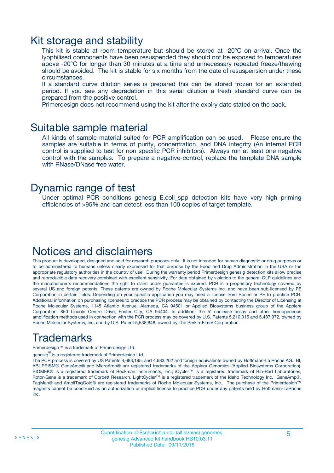### Kit storage and stability

This kit is stable at room temperature but should be stored at -20ºC on arrival. Once the lyophilised components have been resuspended they should not be exposed to temperatures above -20°C for longer than 30 minutes at a time and unnecessary repeated freeze/thawing should be avoided. The kit is stable for six months from the date of resuspension under these circumstances.

If a standard curve dilution series is prepared this can be stored frozen for an extended period. If you see any degradation in this serial dilution a fresh standard curve can be prepared from the positive control.

Primerdesign does not recommend using the kit after the expiry date stated on the pack.

### Suitable sample material

All kinds of sample material suited for PCR amplification can be used. Please ensure the samples are suitable in terms of purity, concentration, and DNA integrity (An internal PCR control is supplied to test for non specific PCR inhibitors). Always run at least one negative control with the samples. To prepare a negative-control, replace the template DNA sample with RNase/DNase free water.

### Dynamic range of test

Under optimal PCR conditions genesig E.coli\_spp detection kits have very high priming efficiencies of >95% and can detect less than 100 copies of target template.

### Notices and disclaimers

This product is developed, designed and sold for research purposes only. It is not intended for human diagnostic or drug purposes or to be administered to humans unless clearly expressed for that purpose by the Food and Drug Administration in the USA or the appropriate regulatory authorities in the country of use. During the warranty period Primerdesign genesig detection kits allow precise and reproducible data recovery combined with excellent sensitivity. For data obtained by violation to the general GLP guidelines and the manufacturer's recommendations the right to claim under guarantee is expired. PCR is a proprietary technology covered by several US and foreign patents. These patents are owned by Roche Molecular Systems Inc. and have been sub-licensed by PE Corporation in certain fields. Depending on your specific application you may need a license from Roche or PE to practice PCR. Additional information on purchasing licenses to practice the PCR process may be obtained by contacting the Director of Licensing at Roche Molecular Systems, 1145 Atlantic Avenue, Alameda, CA 94501 or Applied Biosystems business group of the Applera Corporation, 850 Lincoln Centre Drive, Foster City, CA 94404. In addition, the 5' nuclease assay and other homogeneous amplification methods used in connection with the PCR process may be covered by U.S. Patents 5,210,015 and 5,487,972, owned by Roche Molecular Systems, Inc, and by U.S. Patent 5,538,848, owned by The Perkin-Elmer Corporation.

## Trademarks

Primerdesign™ is a trademark of Primerdesign Ltd.

genesig $^\circledR$  is a registered trademark of Primerdesign Ltd.

The PCR process is covered by US Patents 4,683,195, and 4,683,202 and foreign equivalents owned by Hoffmann-La Roche AG. BI, ABI PRISM® GeneAmp® and MicroAmp® are registered trademarks of the Applera Genomics (Applied Biosystems Corporation). BIOMEK® is a registered trademark of Beckman Instruments, Inc.; iCycler™ is a registered trademark of Bio-Rad Laboratories, Rotor-Gene is a trademark of Corbett Research. LightCycler™ is a registered trademark of the Idaho Technology Inc. GeneAmp®, TaqMan® and AmpliTaqGold® are registered trademarks of Roche Molecular Systems, Inc., The purchase of the Primerdesign™ reagents cannot be construed as an authorization or implicit license to practice PCR under any patents held by Hoffmann-LaRoche Inc.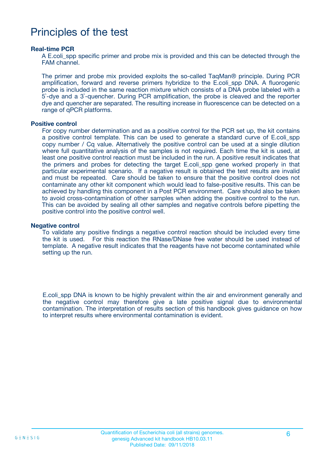### Principles of the test

#### **Real-time PCR**

A E.coli spp specific primer and probe mix is provided and this can be detected through the FAM channel.

The primer and probe mix provided exploits the so-called TaqMan® principle. During PCR amplification, forward and reverse primers hybridize to the E.coli\_spp DNA. A fluorogenic probe is included in the same reaction mixture which consists of a DNA probe labeled with a 5`-dye and a 3`-quencher. During PCR amplification, the probe is cleaved and the reporter dye and quencher are separated. The resulting increase in fluorescence can be detected on a range of qPCR platforms.

#### **Positive control**

For copy number determination and as a positive control for the PCR set up, the kit contains a positive control template. This can be used to generate a standard curve of E.coli\_spp copy number / Cq value. Alternatively the positive control can be used at a single dilution where full quantitative analysis of the samples is not required. Each time the kit is used, at least one positive control reaction must be included in the run. A positive result indicates that the primers and probes for detecting the target E.coli spp gene worked properly in that particular experimental scenario. If a negative result is obtained the test results are invalid and must be repeated. Care should be taken to ensure that the positive control does not contaminate any other kit component which would lead to false-positive results. This can be achieved by handling this component in a Post PCR environment. Care should also be taken to avoid cross-contamination of other samples when adding the positive control to the run. This can be avoided by sealing all other samples and negative controls before pipetting the positive control into the positive control well.

#### **Negative control**

To validate any positive findings a negative control reaction should be included every time the kit is used. For this reaction the RNase/DNase free water should be used instead of template. A negative result indicates that the reagents have not become contaminated while setting up the run.

E.coli\_spp DNA is known to be highly prevalent within the air and environment generally and the negative control may therefore give a late positive signal due to environmental contamination. The interpretation of results section of this handbook gives guidance on how to interpret results where environmental contamination is evident.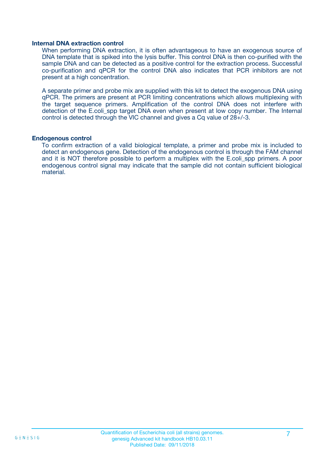#### **Internal DNA extraction control**

When performing DNA extraction, it is often advantageous to have an exogenous source of DNA template that is spiked into the lysis buffer. This control DNA is then co-purified with the sample DNA and can be detected as a positive control for the extraction process. Successful co-purification and qPCR for the control DNA also indicates that PCR inhibitors are not present at a high concentration.

A separate primer and probe mix are supplied with this kit to detect the exogenous DNA using qPCR. The primers are present at PCR limiting concentrations which allows multiplexing with the target sequence primers. Amplification of the control DNA does not interfere with detection of the E.coli\_spp target DNA even when present at low copy number. The Internal control is detected through the VIC channel and gives a Cq value of 28+/-3.

#### **Endogenous control**

To confirm extraction of a valid biological template, a primer and probe mix is included to detect an endogenous gene. Detection of the endogenous control is through the FAM channel and it is NOT therefore possible to perform a multiplex with the E.coli\_spp primers. A poor endogenous control signal may indicate that the sample did not contain sufficient biological material.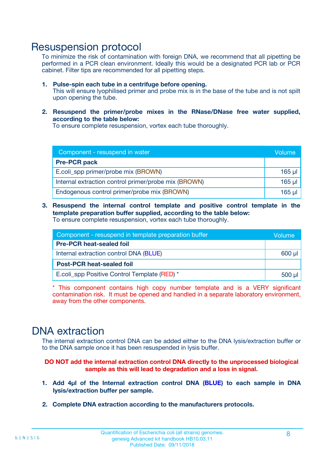### Resuspension protocol

To minimize the risk of contamination with foreign DNA, we recommend that all pipetting be performed in a PCR clean environment. Ideally this would be a designated PCR lab or PCR cabinet. Filter tips are recommended for all pipetting steps.

- **1. Pulse-spin each tube in a centrifuge before opening.** This will ensure lyophilised primer and probe mix is in the base of the tube and is not spilt upon opening the tube.
- **2. Resuspend the primer/probe mixes in the RNase/DNase free water supplied, according to the table below:**

To ensure complete resuspension, vortex each tube thoroughly.

| Component - resuspend in water                       |          |  |
|------------------------------------------------------|----------|--|
| <b>Pre-PCR pack</b>                                  |          |  |
| E.coli_spp primer/probe mix (BROWN)                  |          |  |
| Internal extraction control primer/probe mix (BROWN) | $165$ µl |  |
| Endogenous control primer/probe mix (BROWN)          | 165 µl   |  |

**3. Resuspend the internal control template and positive control template in the template preparation buffer supplied, according to the table below:** To ensure complete resuspension, vortex each tube thoroughly.

| Component - resuspend in template preparation buffer |  |  |  |
|------------------------------------------------------|--|--|--|
| <b>Pre-PCR heat-sealed foil</b>                      |  |  |  |
| Internal extraction control DNA (BLUE)               |  |  |  |
| <b>Post-PCR heat-sealed foil</b>                     |  |  |  |
| E.coli spp Positive Control Template (RED) *         |  |  |  |

\* This component contains high copy number template and is a VERY significant contamination risk. It must be opened and handled in a separate laboratory environment, away from the other components.

### DNA extraction

The internal extraction control DNA can be added either to the DNA lysis/extraction buffer or to the DNA sample once it has been resuspended in lysis buffer.

**DO NOT add the internal extraction control DNA directly to the unprocessed biological sample as this will lead to degradation and a loss in signal.**

- **1. Add 4µl of the Internal extraction control DNA (BLUE) to each sample in DNA lysis/extraction buffer per sample.**
- **2. Complete DNA extraction according to the manufacturers protocols.**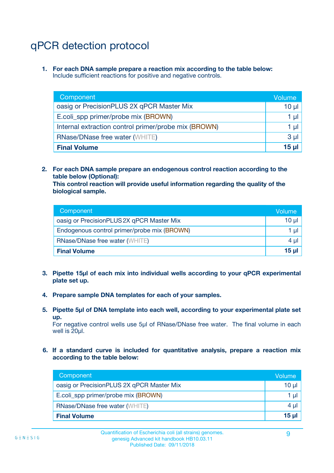## qPCR detection protocol

**1. For each DNA sample prepare a reaction mix according to the table below:** Include sufficient reactions for positive and negative controls.

| Component                                            | Volume   |  |
|------------------------------------------------------|----------|--|
| oasig or PrecisionPLUS 2X qPCR Master Mix            | 10 $\mu$ |  |
| E.coli_spp primer/probe mix (BROWN)                  | 1 µl     |  |
| Internal extraction control primer/probe mix (BROWN) | 1 µl     |  |
| <b>RNase/DNase free water (WHITE)</b>                | $3 \mu$  |  |
| <b>Final Volume</b>                                  |          |  |

**2. For each DNA sample prepare an endogenous control reaction according to the table below (Optional):**

**This control reaction will provide useful information regarding the quality of the biological sample.**

| Component                                   | Volume          |  |
|---------------------------------------------|-----------------|--|
| oasig or PrecisionPLUS 2X qPCR Master Mix   | 10 µl           |  |
| Endogenous control primer/probe mix (BROWN) |                 |  |
| <b>RNase/DNase free water (WHITE)</b>       | $4 \mu$         |  |
| <b>Final Volume</b>                         | 15 <sub>µ</sub> |  |

- **3. Pipette 15µl of each mix into individual wells according to your qPCR experimental plate set up.**
- **4. Prepare sample DNA templates for each of your samples.**
- **5. Pipette 5µl of DNA template into each well, according to your experimental plate set up.**

For negative control wells use 5µl of RNase/DNase free water. The final volume in each well is 20ul.

**6. If a standard curve is included for quantitative analysis, prepare a reaction mix according to the table below:**

| Component                                 | Volume     |
|-------------------------------------------|------------|
| oasig or PrecisionPLUS 2X qPCR Master Mix | 10 µl      |
| E.coli_spp primer/probe mix (BROWN)       |            |
| <b>RNase/DNase free water (WHITE)</b>     | $4 \mu$    |
| <b>Final Volume</b>                       | $15$ $\mu$ |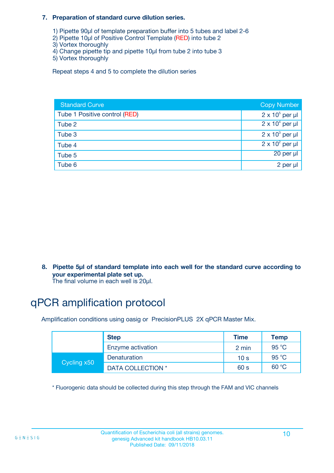#### **7. Preparation of standard curve dilution series.**

- 1) Pipette 90µl of template preparation buffer into 5 tubes and label 2-6
- 2) Pipette 10µl of Positive Control Template (RED) into tube 2
- 3) Vortex thoroughly
- 4) Change pipette tip and pipette 10µl from tube 2 into tube 3
- 5) Vortex thoroughly

Repeat steps 4 and 5 to complete the dilution series

| <b>Standard Curve</b>         | <b>Copy Number</b>     |
|-------------------------------|------------------------|
| Tube 1 Positive control (RED) | $2 \times 10^5$ per µl |
| Tube 2                        | $2 \times 10^4$ per µl |
| Tube 3                        | $2 \times 10^3$ per µl |
| Tube 4                        | $2 \times 10^2$ per µl |
| Tube 5                        | $20$ per $\mu$         |
| Tube 6                        | 2 per µl               |

**8. Pipette 5µl of standard template into each well for the standard curve according to your experimental plate set up.**

#### The final volume in each well is 20µl.

## qPCR amplification protocol

Amplification conditions using oasig or PrecisionPLUS 2X qPCR Master Mix.

|             | <b>Step</b>       | <b>Time</b>     | Temp    |
|-------------|-------------------|-----------------|---------|
|             | Enzyme activation | 2 min           | 95 °C   |
| Cycling x50 | Denaturation      | 10 <sub>s</sub> | 95 $°C$ |
|             | DATA COLLECTION * | 60 s            | 60 °C   |

\* Fluorogenic data should be collected during this step through the FAM and VIC channels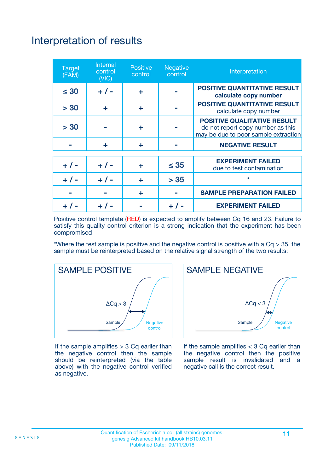# Interpretation of results

| <b>Target</b><br>(FAM) | Internal<br>control<br>(NIC) | <b>Positive</b><br>control | <b>Negative</b><br>control | Interpretation                                                                                                  |
|------------------------|------------------------------|----------------------------|----------------------------|-----------------------------------------------------------------------------------------------------------------|
| $\leq 30$              | $+ 1 -$                      | ÷                          |                            | <b>POSITIVE QUANTITATIVE RESULT</b><br>calculate copy number                                                    |
| > 30                   | ÷                            | ÷                          |                            | <b>POSITIVE QUANTITATIVE RESULT</b><br>calculate copy number                                                    |
| > 30                   |                              | ÷                          |                            | <b>POSITIVE QUALITATIVE RESULT</b><br>do not report copy number as this<br>may be due to poor sample extraction |
|                        | ÷                            | ÷                          |                            | <b>NEGATIVE RESULT</b>                                                                                          |
| $+ 1 -$                | $+ 1 -$                      | ÷                          | $\leq 35$                  | <b>EXPERIMENT FAILED</b><br>due to test contamination                                                           |
|                        | $+$ / -                      | ÷                          | > 35                       | $\star$                                                                                                         |
|                        |                              | ÷                          |                            | <b>SAMPLE PREPARATION FAILED</b>                                                                                |
|                        |                              |                            |                            | <b>EXPERIMENT FAILED</b>                                                                                        |

Positive control template (RED) is expected to amplify between Cq 16 and 23. Failure to satisfy this quality control criterion is a strong indication that the experiment has been compromised

\*Where the test sample is positive and the negative control is positive with a  $Cq > 35$ , the sample must be reinterpreted based on the relative signal strength of the two results:



If the sample amplifies  $> 3$  Cq earlier than the negative control then the sample should be reinterpreted (via the table above) with the negative control verified as negative.



If the sample amplifies  $<$  3 Cq earlier than the negative control then the positive sample result is invalidated and a negative call is the correct result.